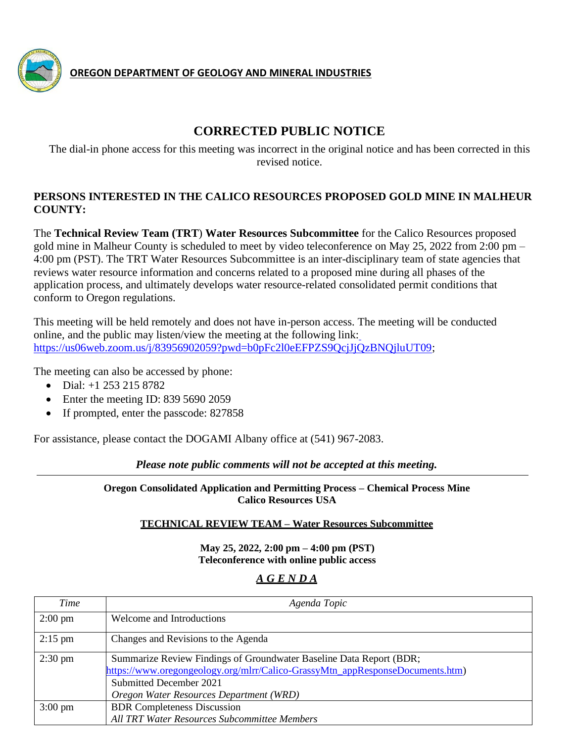

**OREGON DEPARTMENT OF GEOLOGY AND MINERAL INDUSTRIES**

# **CORRECTED PUBLIC NOTICE**

The dial-in phone access for this meeting was incorrect in the original notice and has been corrected in this revised notice.

#### **PERSONS INTERESTED IN THE CALICO RESOURCES PROPOSED GOLD MINE IN MALHEUR COUNTY:**

The **Technical Review Team (TRT**) **Water Resources Subcommittee** for the Calico Resources proposed gold mine in Malheur County is scheduled to meet by video teleconference on May 25, 2022 from 2:00 pm – 4:00 pm (PST). The TRT Water Resources Subcommittee is an inter-disciplinary team of state agencies that reviews water resource information and concerns related to a proposed mine during all phases of the application process, and ultimately develops water resource-related consolidated permit conditions that conform to Oregon regulations.

This meeting will be held remotely and does not have in-person access. The meeting will be conducted online, and the public may listen/view the meeting at the following link: [https://us06web.zoom.us/j/83956902059?pwd=b0pFc2l0eEFPZS9QcjJjQzBNQjluUT09;](https://us06web.zoom.us/j/83956902059?pwd=b0pFc2l0eEFPZS9QcjJjQzBNQjluUT09)

The meeting can also be accessed by phone:

- Dial: +1 253 215 8782
- Enter the meeting ID: 839 5690 2059
- If prompted, enter the passcode: 827858

For assistance, please contact the DOGAMI Albany office at (541) 967-2083.

*Please note public comments will not be accepted at this meeting.*

**Oregon Consolidated Application and Permitting Process – Chemical Process Mine Calico Resources USA**

#### **TECHNICAL REVIEW TEAM – Water Resources Subcommittee**

**May 25, 2022, 2:00 pm – 4:00 pm (PST) Teleconference with online public access**

## *A G E N D A*

| Time              | Agenda Topic                                                                  |
|-------------------|-------------------------------------------------------------------------------|
| $2:00 \text{ pm}$ | Welcome and Introductions                                                     |
| $2:15$ pm         | Changes and Revisions to the Agenda                                           |
| $2:30 \text{ pm}$ | Summarize Review Findings of Groundwater Baseline Data Report (BDR;           |
|                   | https://www.oregongeology.org/mlrr/Calico-GrassyMtn_appResponseDocuments.htm) |
|                   | Submitted December 2021                                                       |
|                   | Oregon Water Resources Department (WRD)                                       |
| $3:00 \text{ pm}$ | <b>BDR</b> Completeness Discussion                                            |
|                   | All TRT Water Resources Subcommittee Members                                  |